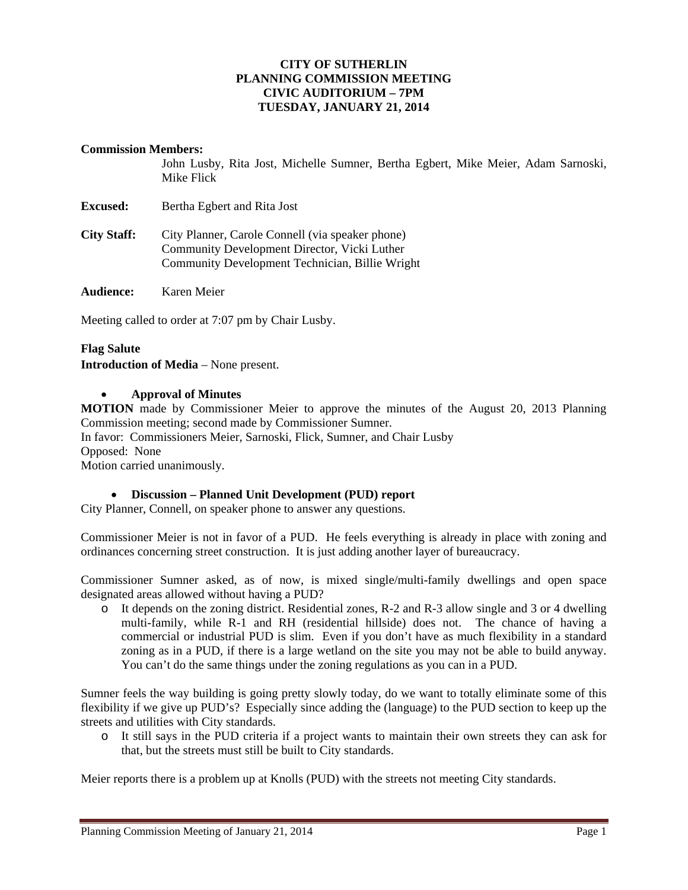### **CITY OF SUTHERLIN PLANNING COMMISSION MEETING CIVIC AUDITORIUM – 7PM TUESDAY, JANUARY 21, 2014**

#### **Commission Members:**

John Lusby, Rita Jost, Michelle Sumner, Bertha Egbert, Mike Meier, Adam Sarnoski, Mike Flick

**Excused:** Bertha Egbert and Rita Jost

**City Staff:** City Planner, Carole Connell (via speaker phone) Community Development Director, Vicki Luther Community Development Technician, Billie Wright

**Audience:** Karen Meier

Meeting called to order at 7:07 pm by Chair Lusby.

### **Flag Salute**

**Introduction of Media** – None present.

#### **Approval of Minutes**

**MOTION** made by Commissioner Meier to approve the minutes of the August 20, 2013 Planning Commission meeting; second made by Commissioner Sumner.

In favor: Commissioners Meier, Sarnoski, Flick, Sumner, and Chair Lusby

Opposed:None

Motion carried unanimously.

### **Discussion – Planned Unit Development (PUD) report**

City Planner, Connell, on speaker phone to answer any questions.

Commissioner Meier is not in favor of a PUD. He feels everything is already in place with zoning and ordinances concerning street construction. It is just adding another layer of bureaucracy.

Commissioner Sumner asked, as of now, is mixed single/multi-family dwellings and open space designated areas allowed without having a PUD?

o It depends on the zoning district. Residential zones, R-2 and R-3 allow single and 3 or 4 dwelling multi-family, while R-1 and RH (residential hillside) does not. The chance of having a commercial or industrial PUD is slim. Even if you don't have as much flexibility in a standard zoning as in a PUD, if there is a large wetland on the site you may not be able to build anyway. You can't do the same things under the zoning regulations as you can in a PUD.

Sumner feels the way building is going pretty slowly today, do we want to totally eliminate some of this flexibility if we give up PUD's? Especially since adding the (language) to the PUD section to keep up the streets and utilities with City standards.

o It still says in the PUD criteria if a project wants to maintain their own streets they can ask for that, but the streets must still be built to City standards.

Meier reports there is a problem up at Knolls (PUD) with the streets not meeting City standards.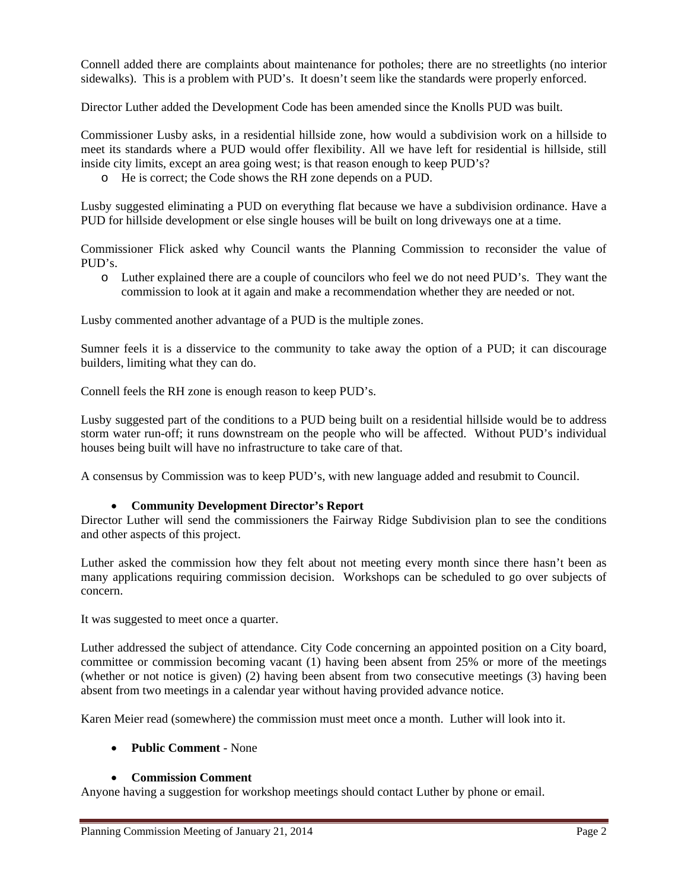Connell added there are complaints about maintenance for potholes; there are no streetlights (no interior sidewalks). This is a problem with PUD's. It doesn't seem like the standards were properly enforced.

Director Luther added the Development Code has been amended since the Knolls PUD was built.

Commissioner Lusby asks, in a residential hillside zone, how would a subdivision work on a hillside to meet its standards where a PUD would offer flexibility. All we have left for residential is hillside, still inside city limits, except an area going west; is that reason enough to keep PUD's?

o He is correct; the Code shows the RH zone depends on a PUD.

Lusby suggested eliminating a PUD on everything flat because we have a subdivision ordinance. Have a PUD for hillside development or else single houses will be built on long driveways one at a time.

Commissioner Flick asked why Council wants the Planning Commission to reconsider the value of PUD's.

o Luther explained there are a couple of councilors who feel we do not need PUD's. They want the commission to look at it again and make a recommendation whether they are needed or not.

Lusby commented another advantage of a PUD is the multiple zones.

Sumner feels it is a disservice to the community to take away the option of a PUD; it can discourage builders, limiting what they can do.

Connell feels the RH zone is enough reason to keep PUD's.

Lusby suggested part of the conditions to a PUD being built on a residential hillside would be to address storm water run-off; it runs downstream on the people who will be affected. Without PUD's individual houses being built will have no infrastructure to take care of that.

A consensus by Commission was to keep PUD's, with new language added and resubmit to Council.

### **Community Development Director's Report**

Director Luther will send the commissioners the Fairway Ridge Subdivision plan to see the conditions and other aspects of this project.

Luther asked the commission how they felt about not meeting every month since there hasn't been as many applications requiring commission decision. Workshops can be scheduled to go over subjects of concern.

It was suggested to meet once a quarter.

Luther addressed the subject of attendance. City Code concerning an appointed position on a City board, committee or commission becoming vacant (1) having been absent from 25% or more of the meetings (whether or not notice is given) (2) having been absent from two consecutive meetings (3) having been absent from two meetings in a calendar year without having provided advance notice.

Karen Meier read (somewhere) the commission must meet once a month. Luther will look into it.

# **Public Comment** - None

### **Commission Comment**

Anyone having a suggestion for workshop meetings should contact Luther by phone or email.